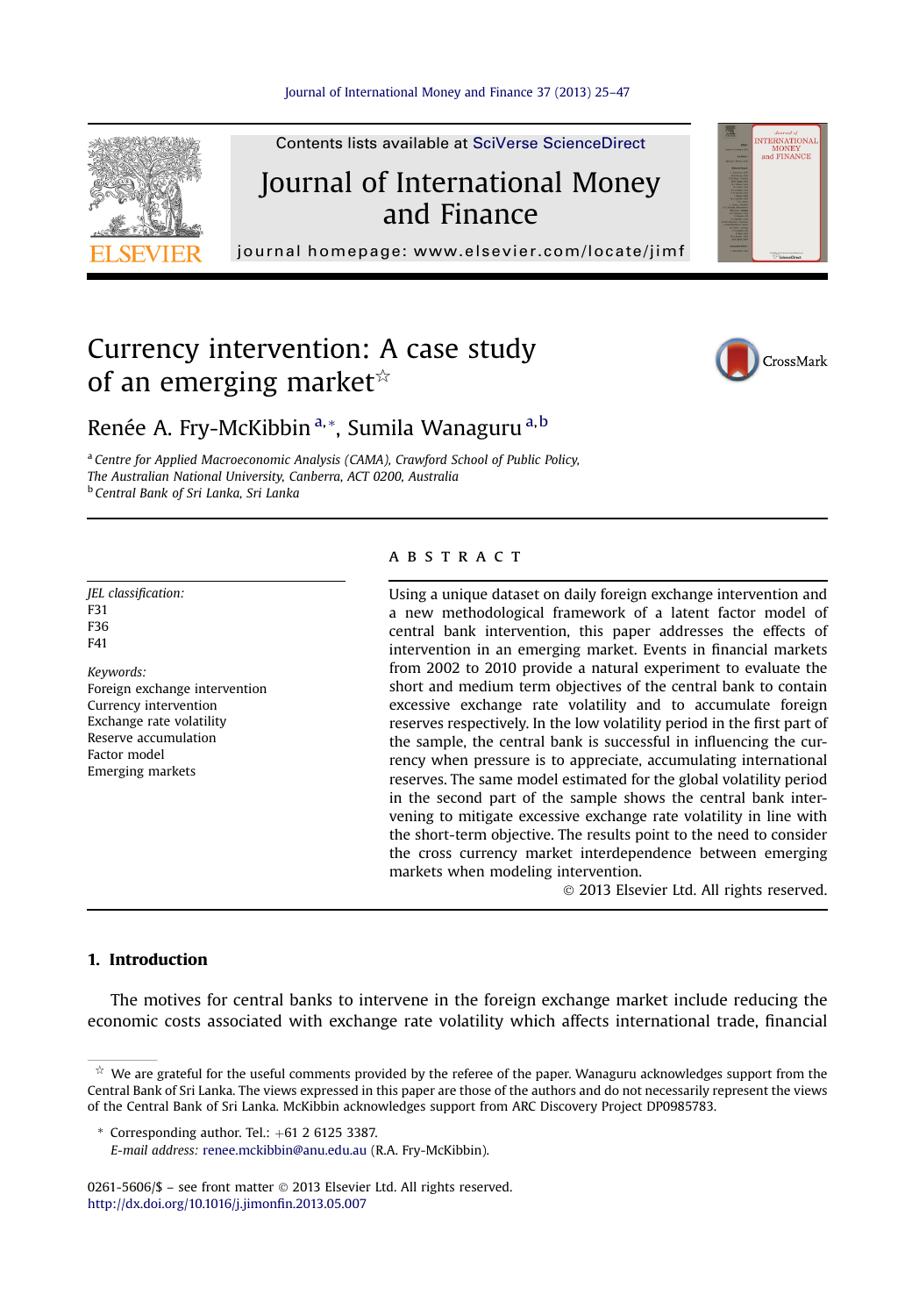

Contents lists available at SciVerse ScienceDirect

## Journal of International Money and Finance

journal homepage:<www.elsevier.com/locate/jimf>

# Currency intervention: A case study of an emerging market $\mathbb{R}$



NTERNATIONAL<br>MONEY<br>and FINANCE

### Renée A. Fry-McKibbin<sup>a,\*</sup>, Sumila Wanaguru<sup>a,b</sup>

<sup>a</sup> Centre for Applied Macroeconomic Analysis (CAMA), Crawford School of Public Policy, The Australian National University, Canberra, ACT 0200, Australia <sup>b</sup> Central Bank of Sri Lanka, Sri Lanka

JEL classification: F31 F36 F41

Keywords: Foreign exchange intervention Currency intervention Exchange rate volatility Reserve accumulation Factor model Emerging markets

#### **ABSTRACT**

Using a unique dataset on daily foreign exchange intervention and a new methodological framework of a latent factor model of central bank intervention, this paper addresses the effects of intervention in an emerging market. Events in financial markets from 2002 to 2010 provide a natural experiment to evaluate the short and medium term objectives of the central bank to contain excessive exchange rate volatility and to accumulate foreign reserves respectively. In the low volatility period in the first part of the sample, the central bank is successful in influencing the currency when pressure is to appreciate, accumulating international reserves. The same model estimated for the global volatility period in the second part of the sample shows the central bank intervening to mitigate excessive exchange rate volatility in line with the short-term objective. The results point to the need to consider the cross currency market interdependence between emerging markets when modeling intervention.

2013 Elsevier Ltd. All rights reserved.

#### 1. Introduction

The motives for central banks to intervene in the foreign exchange market include reducing the economic costs associated with exchange rate volatility which affects international trade, financial

 $*$  Corresponding author. Tel.:  $+61$  2 6125 3387.

0261-5606/\$ - see front matter © 2013 Elsevier Ltd. All rights reserved. [http://dx.doi.org/10.1016/j.jimon](http://dx.doi.org/10.1016/j.jimonfin.2013.05.007)fin.2013.05.007

 $\dot{\varphi}$  We are grateful for the useful comments provided by the referee of the paper. Wanaguru acknowledges support from the Central Bank of Sri Lanka. The views expressed in this paper are those of the authors and do not necessarily represent the views of the Central Bank of Sri Lanka. McKibbin acknowledges support from ARC Discovery Project DP0985783.

E-mail address: [renee.mckibbin@anu.edu.au](mailto:renee.mckibbin@anu.edu.au) (R.A. Fry-McKibbin).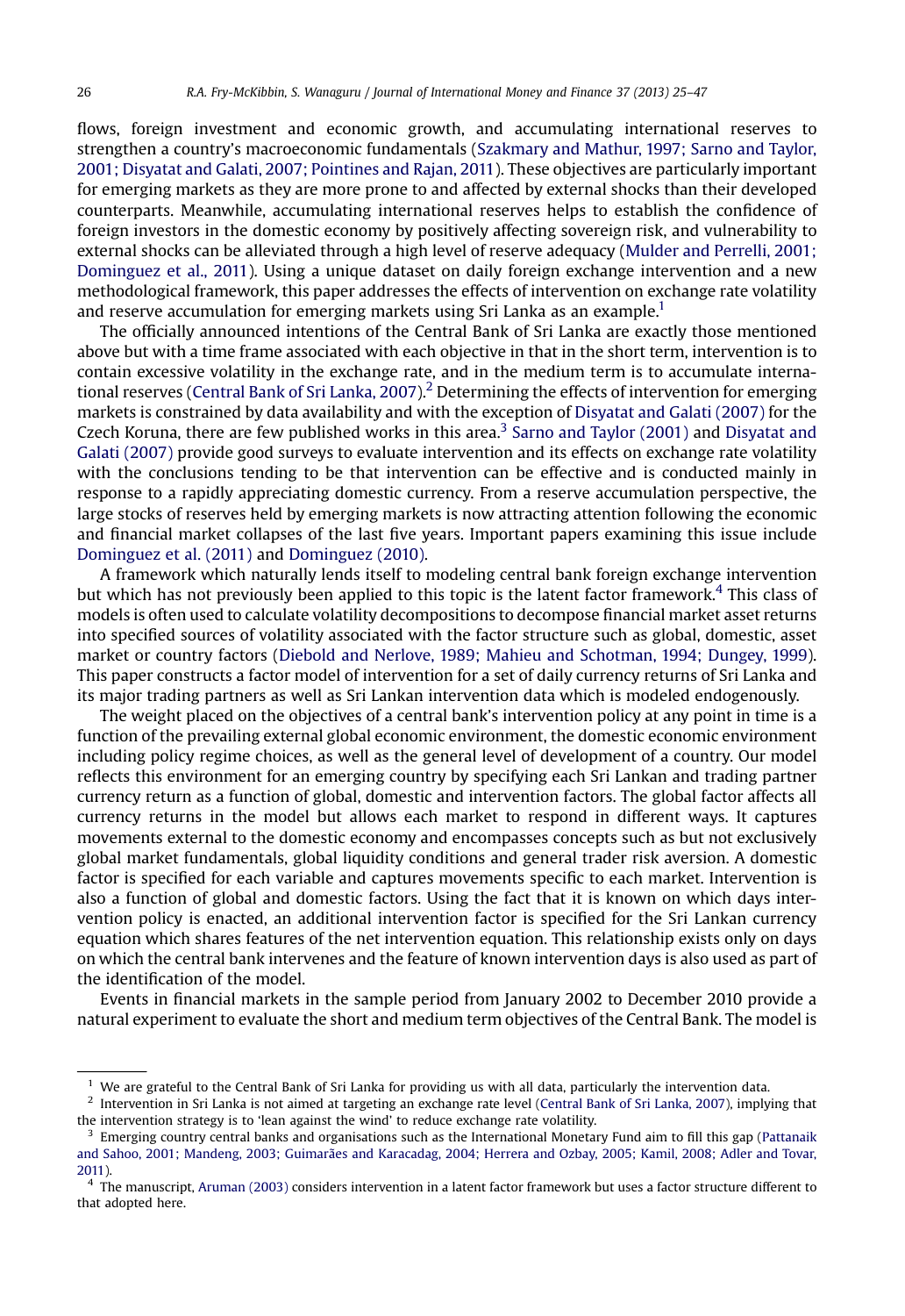flows, foreign investment and economic growth, and accumulating international reserves to strengthen a country's macroeconomic fundamentals ([Szakmary and Mathur, 1997; Sarno and Taylor,](#page--1-0) [2001; Disyatat and Galati, 2007; Pointines and Rajan, 2011\)](#page--1-0). These objectives are particularly important for emerging markets as they are more prone to and affected by external shocks than their developed counterparts. Meanwhile, accumulating international reserves helps to establish the confidence of foreign investors in the domestic economy by positively affecting sovereign risk, and vulnerability to external shocks can be alleviated through a high level of reserve adequacy [\(Mulder and Perrelli, 2001;](#page--1-0) [Dominguez et al., 2011](#page--1-0)). Using a unique dataset on daily foreign exchange intervention and a new methodological framework, this paper addresses the effects of intervention on exchange rate volatility and reserve accumulation for emerging markets using Sri Lanka as an example.<sup>1</sup>

The officially announced intentions of the Central Bank of Sri Lanka are exactly those mentioned above but with a time frame associated with each objective in that in the short term, intervention is to contain excessive volatility in the exchange rate, and in the medium term is to accumulate interna-tional reserves ([Central Bank of Sri Lanka, 2007](#page--1-0)).<sup>2</sup> Determining the effects of intervention for emerging markets is constrained by data availability and with the exception of [Disyatat and Galati \(2007\)](#page--1-0) for the Czech Koruna, there are few published works in this area.<sup>3</sup> [Sarno and Taylor \(2001\)](#page--1-0) and [Disyatat and](#page--1-0) [Galati \(2007\)](#page--1-0) provide good surveys to evaluate intervention and its effects on exchange rate volatility with the conclusions tending to be that intervention can be effective and is conducted mainly in response to a rapidly appreciating domestic currency. From a reserve accumulation perspective, the large stocks of reserves held by emerging markets is now attracting attention following the economic and financial market collapses of the last five years. Important papers examining this issue include [Dominguez et al. \(2011\)](#page--1-0) and [Dominguez \(2010\)](#page--1-0).

A framework which naturally lends itself to modeling central bank foreign exchange intervention but which has not previously been applied to this topic is the latent factor framework.<sup>4</sup> This class of models is often used to calculate volatility decompositions to decompose financial market asset returns into specified sources of volatility associated with the factor structure such as global, domestic, asset market or country factors [\(Diebold and Nerlove, 1989; Mahieu and Schotman, 1994; Dungey, 1999](#page--1-0)). This paper constructs a factor model of intervention for a set of daily currency returns of Sri Lanka and its major trading partners as well as Sri Lankan intervention data which is modeled endogenously.

The weight placed on the objectives of a central bank's intervention policy at any point in time is a function of the prevailing external global economic environment, the domestic economic environment including policy regime choices, as well as the general level of development of a country. Our model reflects this environment for an emerging country by specifying each Sri Lankan and trading partner currency return as a function of global, domestic and intervention factors. The global factor affects all currency returns in the model but allows each market to respond in different ways. It captures movements external to the domestic economy and encompasses concepts such as but not exclusively global market fundamentals, global liquidity conditions and general trader risk aversion. A domestic factor is specified for each variable and captures movements specific to each market. Intervention is also a function of global and domestic factors. Using the fact that it is known on which days intervention policy is enacted, an additional intervention factor is specified for the Sri Lankan currency equation which shares features of the net intervention equation. This relationship exists only on days on which the central bank intervenes and the feature of known intervention days is also used as part of the identification of the model.

Events in financial markets in the sample period from January 2002 to December 2010 provide a natural experiment to evaluate the short and medium term objectives of the Central Bank. The model is

 $1$  We are grateful to the Central Bank of Sri Lanka for providing us with all data, particularly the intervention data.

 $<sup>2</sup>$  Intervention in Sri Lanka is not aimed at targeting an exchange rate level [\(Central Bank of Sri Lanka, 2007](#page--1-0)), implying that</sup> the intervention strategy is to 'lean against the wind' to reduce exchange rate volatility.

<sup>3</sup> Emerging country central banks and organisations such as the International Monetary Fund aim to fill this gap [\(Pattanaik](#page--1-0) [and Sahoo, 2001; Mandeng, 2003; Guimarães and Karacadag, 2004; Herrera and Ozbay, 2005; Kamil, 2008; Adler and Tovar,](#page--1-0) [2011](#page--1-0)).

<sup>4</sup> The manuscript, [Aruman \(2003\)](#page--1-0) considers intervention in a latent factor framework but uses a factor structure different to that adopted here.